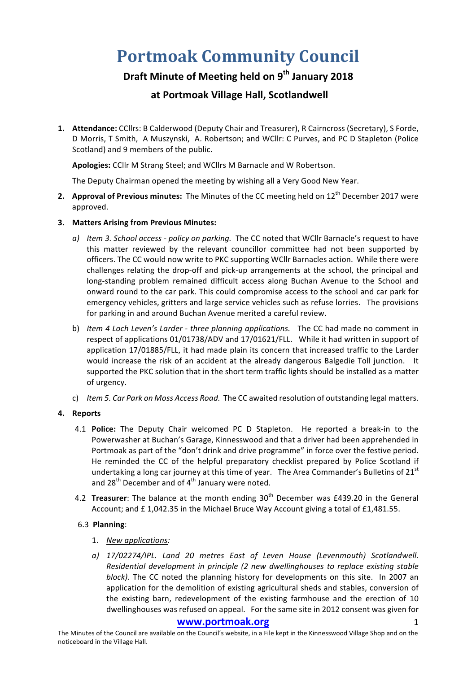# **Portmoak Community Council**

## **Draft Minute of Meeting held on 9th January 2018**

### **at Portmoak Village Hall, Scotlandwell**

1. **Attendance:** CCllrs: B Calderwood (Deputy Chair and Treasurer), R Cairncross (Secretary), S Forde, D Morris, T Smith, A Muszynski, A. Robertson; and WCllr: C Purves, and PC D Stapleton (Police Scotland) and 9 members of the public.

Apologies: CCllr M Strang Steel; and WCllrs M Barnacle and W Robertson.

The Deputy Chairman opened the meeting by wishing all a Very Good New Year.

- **2.** Approval of Previous minutes: The Minutes of the CC meeting held on 12<sup>th</sup> December 2017 were approved.
- **3. Matters Arising from Previous Minutes:**
	- *a*) *Item 3. School access policy on parking.* The CC noted that WCllr Barnacle's request to have this matter reviewed by the relevant councillor committee had not been supported by officers. The CC would now write to PKC supporting WCIIr Barnacles action. While there were challenges relating the drop-off and pick-up arrangements at the school, the principal and long-standing problem remained difficult access along Buchan Avenue to the School and onward round to the car park. This could compromise access to the school and car park for emergency vehicles, gritters and large service vehicles such as refuse lorries. The provisions for parking in and around Buchan Avenue merited a careful review.
	- b) *Item 4 Loch Leven's Larder three planning applications.* The CC had made no comment in respect of applications 01/01738/ADV and 17/01621/FLL. While it had written in support of application 17/01885/FLL, it had made plain its concern that increased traffic to the Larder would increase the risk of an accident at the already dangerous Balgedie Toll junction. It supported the PKC solution that in the short term traffic lights should be installed as a matter of urgency.
	- c) *Item 5. Car Park on Moss Access Road.* The CC awaited resolution of outstanding legal matters.

#### **4. Reports**

- 4.1 **Police:** The Deputy Chair welcomed PC D Stapleton. He reported a break-in to the Powerwasher at Buchan's Garage, Kinnesswood and that a driver had been apprehended in Portmoak as part of the "don't drink and drive programme" in force over the festive period. He reminded the CC of the helpful preparatory checklist prepared by Police Scotland if undertaking a long car journey at this time of year. The Area Commander's Bulletins of  $21<sup>st</sup>$ and  $28<sup>th</sup>$  December and of  $4<sup>th</sup>$  January were noted.
- 4.2 **Treasurer**: The balance at the month ending 30<sup>th</sup> December was £439.20 in the General Account; and  $£ 1,042.35$  in the Michael Bruce Way Account giving a total of £1,481.55.

#### 6.3 **Planning**:

- 1. *New applications:*
- a) 17/02274/IPL. Land 20 metres East of Leven House (Levenmouth) Scotlandwell. *Residential development in principle (2 new dwellinghouses to replace existing stable block)*. The CC noted the planning history for developments on this site. In 2007 an application for the demolition of existing agricultural sheds and stables, conversion of the existing barn, redevelopment of the existing farmhouse and the erection of 10 dwellinghouses was refused on appeal. For the same site in 2012 consent was given for

#### www.portmoak.org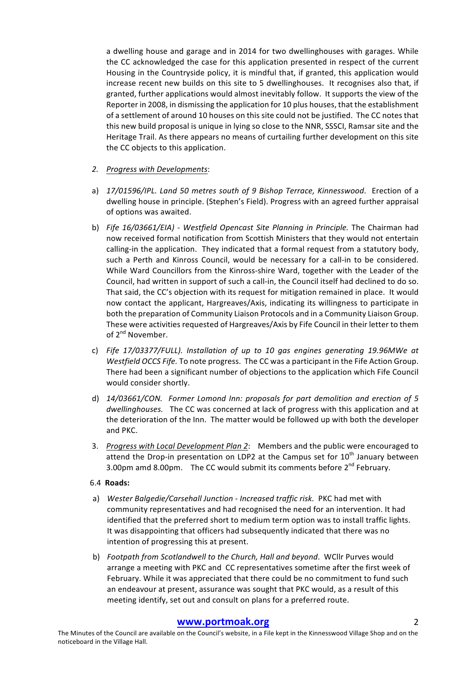a dwelling house and garage and in 2014 for two dwellinghouses with garages. While the CC acknowledged the case for this application presented in respect of the current Housing in the Countryside policy, it is mindful that, if granted, this application would increase recent new builds on this site to 5 dwellinghouses. It recognises also that, if granted, further applications would almost inevitably follow. It supports the view of the Reporter in 2008, in dismissing the application for 10 plus houses, that the establishment of a settlement of around 10 houses on this site could not be justified. The CC notes that this new build proposal is unique in lying so close to the NNR, SSSCI, Ramsar site and the Heritage Trail. As there appears no means of curtailing further development on this site the CC objects to this application.

- 2. *Progress with Developments:*
- a) 17/01596/IPL. Land 50 metres south of 9 Bishop Terrace, Kinnesswood. Erection of a dwelling house in principle. (Stephen's Field). Progress with an agreed further appraisal of options was awaited.
- b) Fife 16/03661/EIA) Westfield Opencast Site Planning in Principle. The Chairman had now received formal notification from Scottish Ministers that they would not entertain calling-in the application. They indicated that a formal request from a statutory body, such a Perth and Kinross Council, would be necessary for a call-in to be considered. While Ward Councillors from the Kinross-shire Ward, together with the Leader of the Council, had written in support of such a call-in, the Council itself had declined to do so. That said, the CC's objection with its request for mitigation remained in place. It would now contact the applicant, Hargreaves/Axis, indicating its willingness to participate in both the preparation of Community Liaison Protocols and in a Community Liaison Group. These were activities requested of Hargreaves/Axis by Fife Council in their letter to them of 2<sup>nd</sup> November.
- c) Fife 17/03377/FULL). Installation of up to 10 gas engines generating 19.96MWe at *Westfield OCCS Fife.* To note progress. The CC was a participant in the Fife Action Group. There had been a significant number of objections to the application which Fife Council would consider shortly.
- d) 14/03661/CON. Former Lomond Inn: proposals for part demolition and erection of 5 *dwellinghouses.* The CC was concerned at lack of progress with this application and at the deterioration of the Inn. The matter would be followed up with both the developer and PKC.
- 3. Progress with Local Development Plan 2: Members and the public were encouraged to attend the Drop-in presentation on LDP2 at the Campus set for  $10^{th}$  January between 3.00pm amd 8.00pm. The CC would submit its comments before  $2^{nd}$  February.

#### 6.4 **Roads:**

- a) Wester Balgedie/Carsehall Junction Increased traffic risk. PKC had met with community representatives and had recognised the need for an intervention. It had identified that the preferred short to medium term option was to install traffic lights. It was disappointing that officers had subsequently indicated that there was no intention of progressing this at present.
- b) *Footpath from Scotlandwell to the Church, Hall and beyond.* WCllr Purves would arrange a meeting with PKC and CC representatives sometime after the first week of February. While it was appreciated that there could be no commitment to fund such an endeavour at present, assurance was sought that PKC would, as a result of this meeting identify, set out and consult on plans for a preferred route.

#### **www.portmoak.org** 2